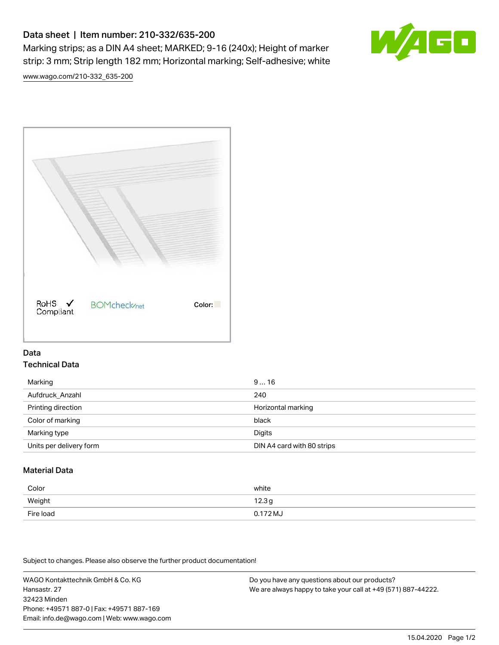# Data sheet | Item number: 210-332/635-200

Marking strips; as a DIN A4 sheet; MARKED; 9-16 (240x); Height of marker strip: 3 mm; Strip length 182 mm; Horizontal marking; Self-adhesive; white



[www.wago.com/210-332\\_635-200](http://www.wago.com/210-332_635-200)



## Data Technical Data

| Marking                 | 916                        |
|-------------------------|----------------------------|
| Aufdruck_Anzahl         | 240                        |
| Printing direction      | Horizontal marking         |
| Color of marking        | black                      |
| Marking type            | Digits                     |
| Units per delivery form | DIN A4 card with 80 strips |

# Material Data

| Color     | white               |
|-----------|---------------------|
| Weight    | 12.3g               |
| Fire load | $0.172 \mathrm{MJ}$ |

Subject to changes. Please also observe the further product documentation!

WAGO Kontakttechnik GmbH & Co. KG Hansastr. 27 32423 Minden Phone: +49571 887-0 | Fax: +49571 887-169 Email: info.de@wago.com | Web: www.wago.com Do you have any questions about our products? We are always happy to take your call at +49 (571) 887-44222.